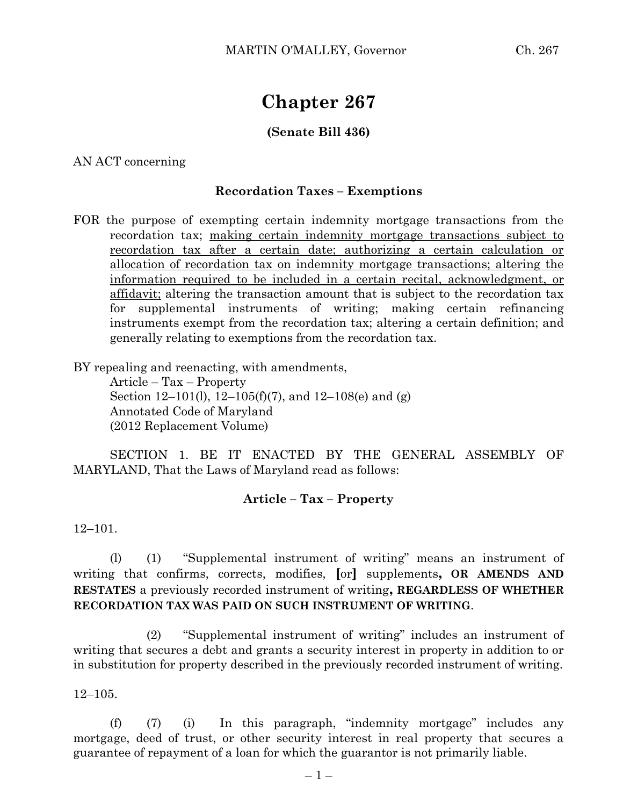# **Chapter 267**

## **(Senate Bill 436)**

AN ACT concerning

### **Recordation Taxes – Exemptions**

FOR the purpose of exempting certain indemnity mortgage transactions from the recordation tax; making certain indemnity mortgage transactions subject to recordation tax after a certain date; authorizing a certain calculation or allocation of recordation tax on indemnity mortgage transactions; altering the information required to be included in a certain recital, acknowledgment, or affidavit; altering the transaction amount that is subject to the recordation tax for supplemental instruments of writing; making certain refinancing instruments exempt from the recordation tax; altering a certain definition; and generally relating to exemptions from the recordation tax.

BY repealing and reenacting, with amendments,

Article – Tax – Property Section 12–101(l), 12–105(f)(7), and 12–108(e) and (g) Annotated Code of Maryland (2012 Replacement Volume)

SECTION 1. BE IT ENACTED BY THE GENERAL ASSEMBLY OF MARYLAND, That the Laws of Maryland read as follows:

#### **Article – Tax – Property**

12–101.

(l) (1) "Supplemental instrument of writing" means an instrument of writing that confirms, corrects, modifies, **[**or**]** supplements**, OR AMENDS AND RESTATES** a previously recorded instrument of writing**, REGARDLESS OF WHETHER RECORDATION TAX WAS PAID ON SUCH INSTRUMENT OF WRITING**.

(2) "Supplemental instrument of writing" includes an instrument of writing that secures a debt and grants a security interest in property in addition to or in substitution for property described in the previously recorded instrument of writing.

12–105.

(f) (7) (i) In this paragraph, "indemnity mortgage" includes any mortgage, deed of trust, or other security interest in real property that secures a guarantee of repayment of a loan for which the guarantor is not primarily liable.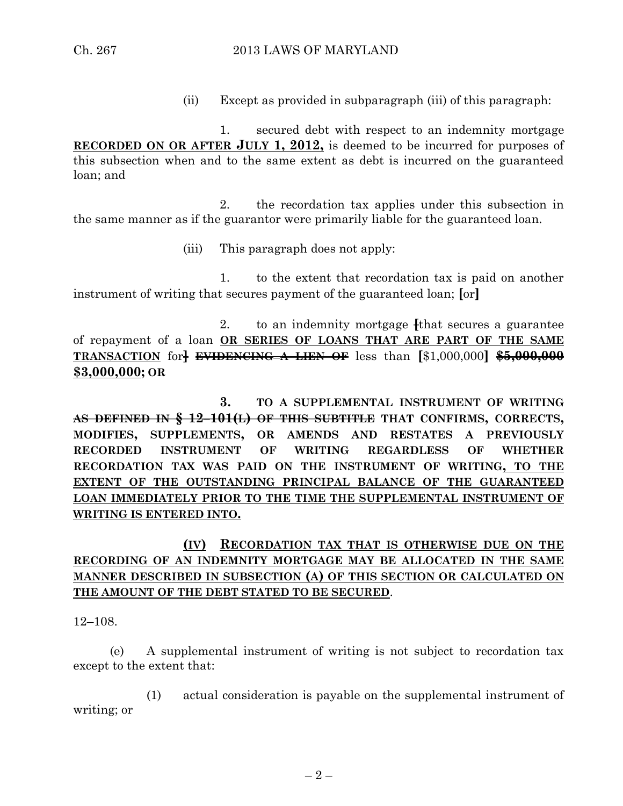(ii) Except as provided in subparagraph (iii) of this paragraph:

1. secured debt with respect to an indemnity mortgage **RECORDED ON OR AFTER JULY 1, 2012,** is deemed to be incurred for purposes of this subsection when and to the same extent as debt is incurred on the guaranteed loan; and

2. the recordation tax applies under this subsection in the same manner as if the guarantor were primarily liable for the guaranteed loan.

(iii) This paragraph does not apply:

1. to the extent that recordation tax is paid on another instrument of writing that secures payment of the guaranteed loan; **[**or**]**

2. to an indemnity mortgage **[**that secures a guarantee of repayment of a loan **OR SERIES OF LOANS THAT ARE PART OF THE SAME TRANSACTION** for**] EVIDENCING A LIEN OF** less than **[**\$1,000,000**] \$5,000,000 \$3,000,000; OR**

**3. TO A SUPPLEMENTAL INSTRUMENT OF WRITING AS DEFINED IN § 12–101(L) OF THIS SUBTITLE THAT CONFIRMS, CORRECTS, MODIFIES, SUPPLEMENTS, OR AMENDS AND RESTATES A PREVIOUSLY RECORDED INSTRUMENT OF WRITING REGARDLESS OF WHETHER RECORDATION TAX WAS PAID ON THE INSTRUMENT OF WRITING, TO THE EXTENT OF THE OUTSTANDING PRINCIPAL BALANCE OF THE GUARANTEED LOAN IMMEDIATELY PRIOR TO THE TIME THE SUPPLEMENTAL INSTRUMENT OF WRITING IS ENTERED INTO.**

## **(IV) RECORDATION TAX THAT IS OTHERWISE DUE ON THE RECORDING OF AN INDEMNITY MORTGAGE MAY BE ALLOCATED IN THE SAME MANNER DESCRIBED IN SUBSECTION (A) OF THIS SECTION OR CALCULATED ON THE AMOUNT OF THE DEBT STATED TO BE SECURED**.

12–108.

(e) A supplemental instrument of writing is not subject to recordation tax except to the extent that:

(1) actual consideration is payable on the supplemental instrument of writing; or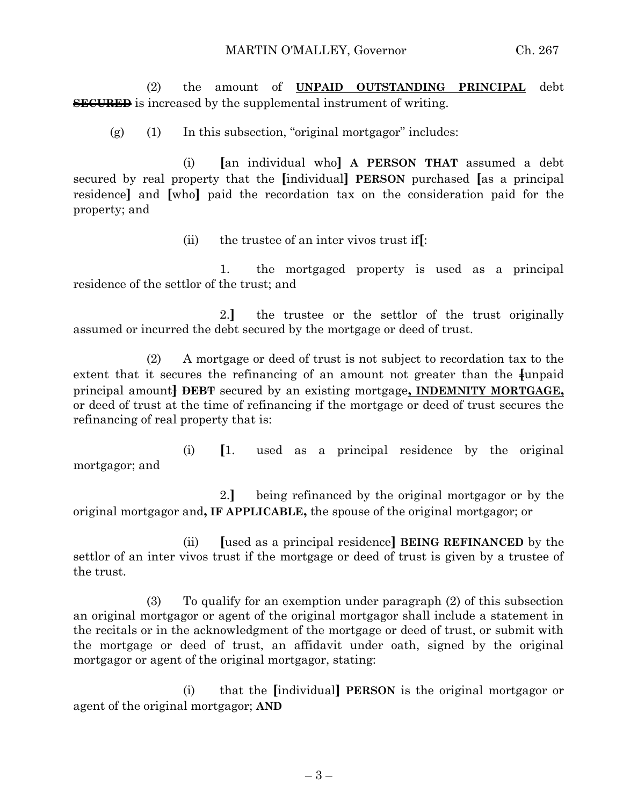(2) the amount of **UNPAID OUTSTANDING PRINCIPAL** debt **SECURED** is increased by the supplemental instrument of writing.

(g) (1) In this subsection, "original mortgagor" includes:

(i) **[**an individual who**] A PERSON THAT** assumed a debt secured by real property that the **[**individual**] PERSON** purchased **[**as a principal residence**]** and **[**who**]** paid the recordation tax on the consideration paid for the property; and

(ii) the trustee of an inter vivos trust if**[**:

1. the mortgaged property is used as a principal residence of the settlor of the trust; and

2.**]** the trustee or the settlor of the trust originally assumed or incurred the debt secured by the mortgage or deed of trust.

(2) A mortgage or deed of trust is not subject to recordation tax to the extent that it secures the refinancing of an amount not greater than the **funpaid** principal amount**] DEBT** secured by an existing mortgage**, INDEMNITY MORTGAGE,** or deed of trust at the time of refinancing if the mortgage or deed of trust secures the refinancing of real property that is:

(i) **[**1. used as a principal residence by the original mortgagor; and

2.**]** being refinanced by the original mortgagor or by the original mortgagor and**, IF APPLICABLE,** the spouse of the original mortgagor; or

(ii) **[**used as a principal residence**] BEING REFINANCED** by the settlor of an inter vivos trust if the mortgage or deed of trust is given by a trustee of the trust.

(3) To qualify for an exemption under paragraph (2) of this subsection an original mortgagor or agent of the original mortgagor shall include a statement in the recitals or in the acknowledgment of the mortgage or deed of trust, or submit with the mortgage or deed of trust, an affidavit under oath, signed by the original mortgagor or agent of the original mortgagor, stating:

(i) that the **[**individual**] PERSON** is the original mortgagor or agent of the original mortgagor; **AND**